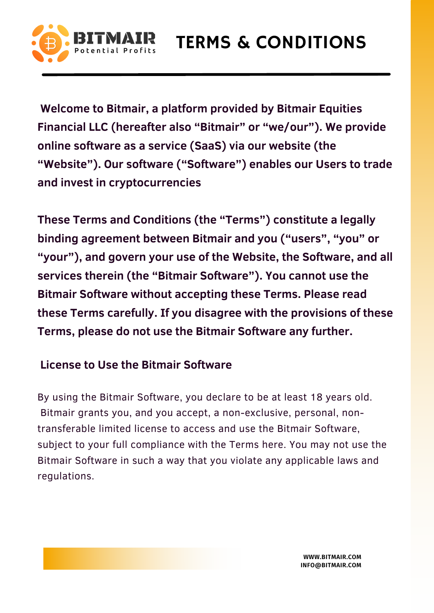

**Welcome to Bitmair, a platform provided by Bitmair Equities Financial LLC (hereafter also "Bitmair" or "we/our"). We provide online software as a service (SaaS) via our website (the "Website"). Our software ("Software") enables our Users to trade and invest in cryptocurrencies**

**These Terms and Conditions (the "Terms") constitute a legally binding agreement between Bitmair and you ("users" , "you" or "your"), and govern your use of the Website, the Software, and all services therein (the "Bitmair Software"). You cannot use the Bitmair Software without accepting these Terms. Please read these Terms carefully. If you disagree with the provisions of these Terms, please do not use the Bitmair Software any further.**

## **License to Use the Bitmair Software**

By using the Bitmair Software, you declare to be at least 18 years old. Bitmair grants you, and you accept, a non-exclusive, personal, nontransferable limited license to access and use the Bitmair Software, subject to your full compliance with the Terms here. You may not use the Bitmair Software in such a way that you violate any applicable laws and regulations.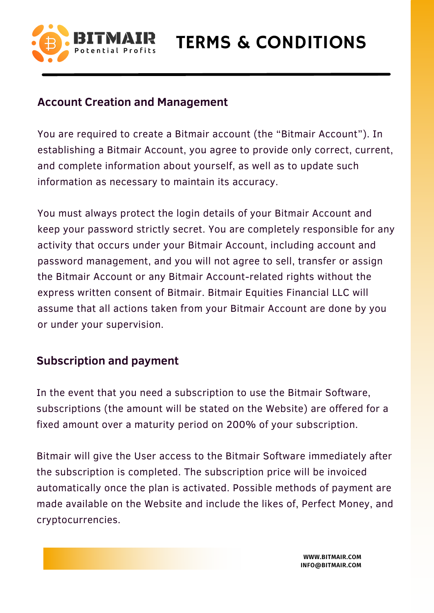

TERMS & CONDITIONS

## **Account Creation and Management**

You are required to create a Bitmair account (the "Bitmair Account"). In establishing a Bitmair Account, you agree to provide only correct, current, and complete information about yourself, as well as to update such information as necessary to maintain its accuracy.

You must always protect the login details of your Bitmair Account and keep your password strictly secret. You are completely responsible for any activity that occurs under your Bitmair Account, including account and password management, and you will not agree to sell, transfer or assign the Bitmair Account or any Bitmair Account-related rights without the express written consent of Bitmair. Bitmair Equities Financial LLC will assume that all actions taken from your Bitmair Account are done by you or under your supervision.

## **Subscription and payment**

In the event that you need a subscription to use the Bitmair Software, subscriptions (the amount will be stated on the Website) are offered for a fixed amount over a maturity period on 200% of your subscription.

Bitmair will give the User access to the Bitmair Software immediately after the subscription is completed. The subscription price will be invoiced automatically once the plan is activated. Possible methods of payment are made available on the Website and include the likes of, Perfect Money, and cryptocurrencies.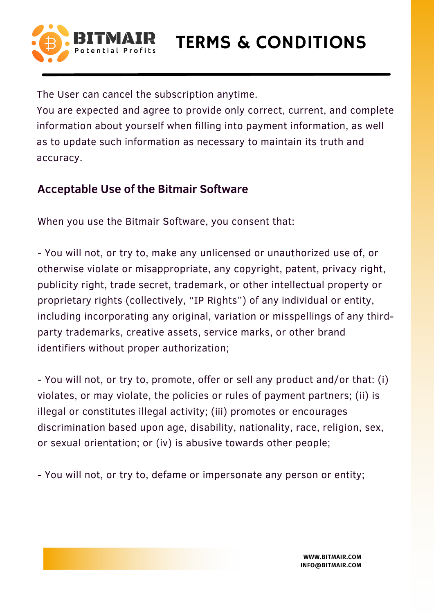

The User can cancel the subscription anytime.

You are expected and agree to provide only correct, current, and complete information about yourself when filling into payment information, as well as to update such information as necessary to maintain its truth and accuracy.

## **Acceptable Use of the Bitmair Software**

When you use the Bitmair Software, you consent that:

- You will not, or try to, make any unlicensed or unauthorized use of, or otherwise violate or misappropriate, any copyright, patent, privacy right, publicity right, trade secret, trademark, or other intellectual property or proprietary rights (collectively, "IP Rights") of any individual or entity, including incorporating any original, variation or misspellings of any thirdparty trademarks, creative assets, service marks, or other brand identifiers without proper authorization;

- You will not, or try to, promote, offer or sell any product and/or that: (i) violates, or may violate, the policies or rules of payment partners; (ii) is illegal or constitutes illegal activity; (iii) promotes or encourages discrimination based upon age, disability, nationality, race, religion, sex, or sexual orientation; or (iv) is abusive towards other people;

- You will not, or try to, defame or impersonate any person or entity;